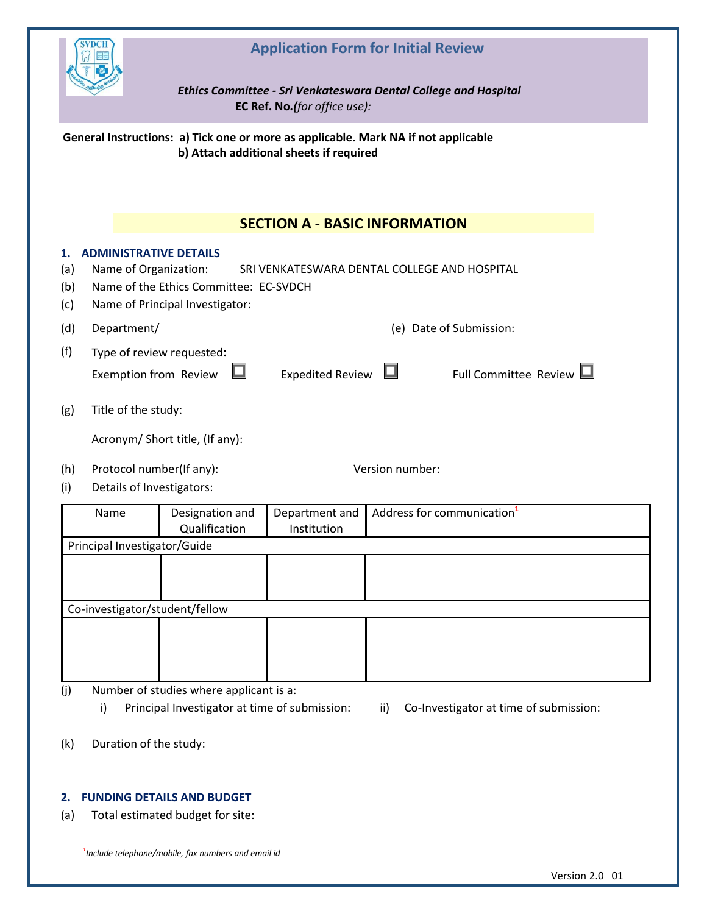

## **Application Form for Initial Review**

*Ethics Committee - Sri Venkateswara Dental College and Hospital*  **EC Ref. No***.(for office use):*

**General Instructions: a) Tick one or more as applicable. Mark NA if not applicable b) Attach additional sheets if required**

|                         |                                                        |                                                                           | <b>SECTION A - BASIC INFORMATION</b>         |                 |                                        |
|-------------------------|--------------------------------------------------------|---------------------------------------------------------------------------|----------------------------------------------|-----------------|----------------------------------------|
| 1.<br>(a)<br>(b)<br>(c) | <b>ADMINISTRATIVE DETAILS</b><br>Name of Organization: | Name of the Ethics Committee: EC-SVDCH<br>Name of Principal Investigator: | SRI VENKATESWARA DENTAL COLLEGE AND HOSPITAL |                 |                                        |
| (d)                     | Department/                                            |                                                                           |                                              |                 | (e) Date of Submission:                |
| (f)                     | Exemption from Review                                  | Type of review requested:                                                 | <b>Expedited Review</b>                      |                 | Full Committee Review L                |
| (g)                     | Title of the study:                                    |                                                                           |                                              |                 |                                        |
|                         |                                                        | Acronym/ Short title, (If any):                                           |                                              |                 |                                        |
| (h)<br>(i)              | Protocol number(If any):<br>Details of Investigators:  |                                                                           |                                              | Version number: |                                        |
|                         | Name                                                   | Designation and<br>Qualification                                          | Department and<br>Institution                |                 | Address for communication <sup>1</sup> |
|                         | Principal Investigator/Guide                           |                                                                           |                                              |                 |                                        |
|                         |                                                        |                                                                           |                                              |                 |                                        |
|                         | Co-investigator/student/fellow                         |                                                                           |                                              |                 |                                        |
|                         |                                                        |                                                                           |                                              |                 |                                        |

- (j) Number of studies where applicant is a:
	- i) Principal Investigator at time of submission: ii) Co-Investigator at time of submission:
- 

(k) Duration of the study:

## **2. FUNDING DETAILS AND BUDGET**

(a) Total estimated budget for site:

*1 Include telephone/mobile, fax numbers and email id*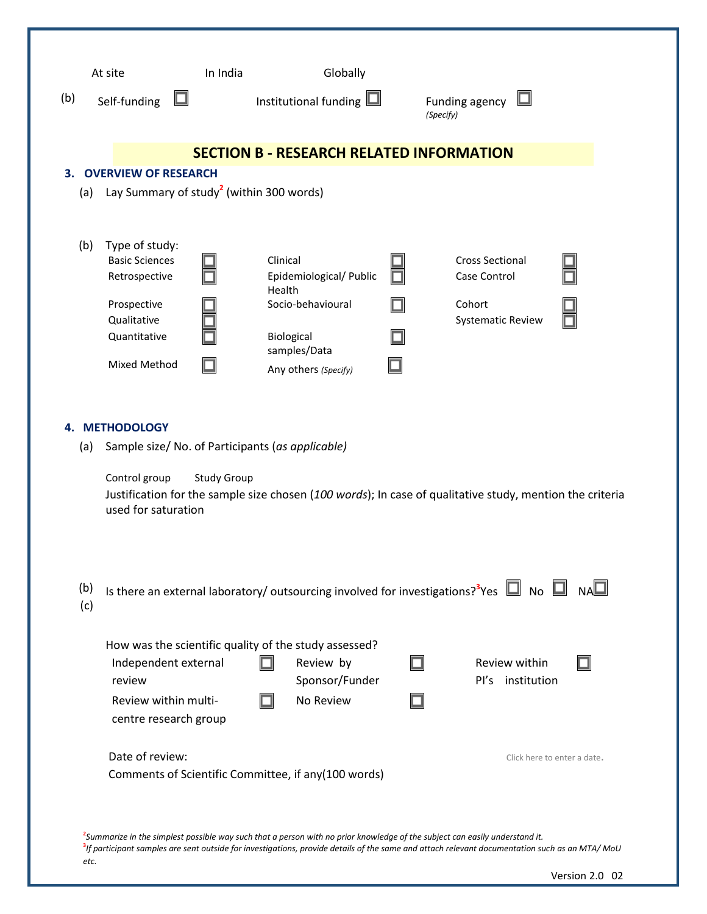| (b)<br>Self-funding                                                                                                                  | In India<br>$\Box$                                                    | Globally<br>Institutional funding $\Box$                                                                                 | Funding agency<br>(Specify)                                                                                           |
|--------------------------------------------------------------------------------------------------------------------------------------|-----------------------------------------------------------------------|--------------------------------------------------------------------------------------------------------------------------|-----------------------------------------------------------------------------------------------------------------------|
|                                                                                                                                      |                                                                       | <b>SECTION B - RESEARCH RELATED INFORMATION</b>                                                                          |                                                                                                                       |
| <b>OVERVIEW OF RESEARCH</b><br>з.<br>(a)                                                                                             | Lay Summary of study <sup>2</sup> (within 300 words)                  |                                                                                                                          |                                                                                                                       |
| Type of study:<br>(b)<br><b>Basic Sciences</b><br>Retrospective<br>Prospective<br>Qualitative<br>Quantitative<br><b>Mixed Method</b> |                                                                       | Clinical<br>Epidemiological/ Public<br>Health<br>Socio-behavioural<br>Biological<br>samples/Data<br>Any others (Specify) | <b>Cross Sectional</b><br>Case Control<br>Cohort<br><b>Systematic Review</b>                                          |
| <b>METHODOLOGY</b><br>4.<br>(a)<br>Control group<br>used for saturation                                                              | <b>Study Group</b>                                                    | Sample size/ No. of Participants (as applicable)                                                                         | Justification for the sample size chosen (100 words); In case of qualitative study, mention the criteria              |
| (b)<br>(c)                                                                                                                           |                                                                       |                                                                                                                          | Is there an external laboratory/ outsourcing involved for investigations? <sup>3</sup> Yes $\Box$ No $\Box$ NA $\Box$ |
| review                                                                                                                               | Independent external<br>Review within multi-<br>centre research group | How was the scientific quality of the study assessed?<br>Review by<br>Sponsor/Funder<br>No Review                        | Review within<br>Pl's institution                                                                                     |
| Date of review:                                                                                                                      |                                                                       | Comments of Scientific Committee, if any(100 words)                                                                      | Click here to enter a date.                                                                                           |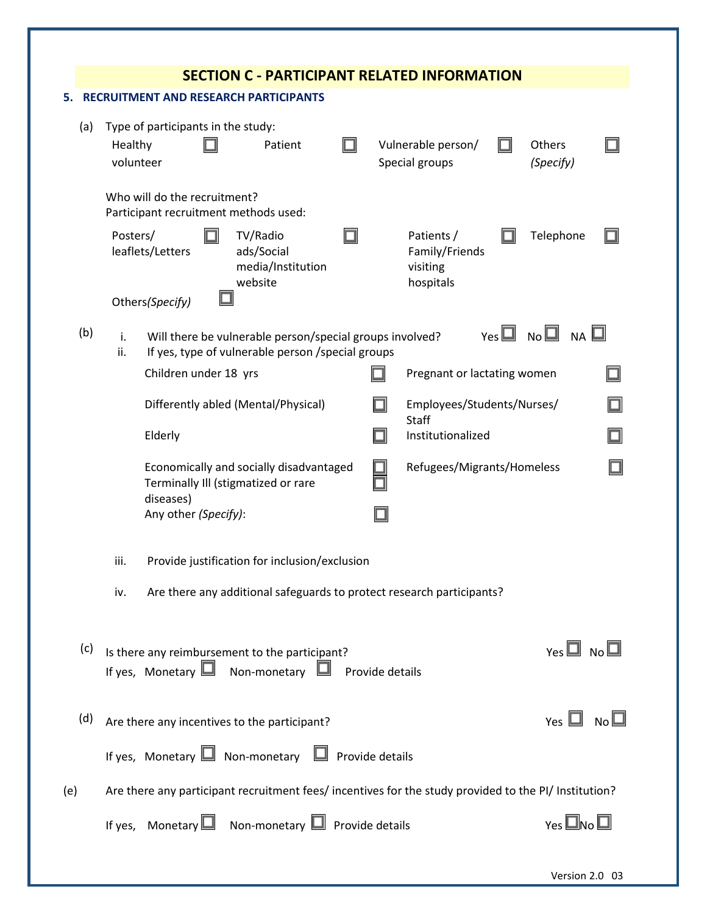|     |                                                                       |                                                                                                               |                       |                                                                                |  |                                                             | <b>SECTION C - PARTICIPANT RELATED INFORMATION</b>                                                    |  |                            |  |  |
|-----|-----------------------------------------------------------------------|---------------------------------------------------------------------------------------------------------------|-----------------------|--------------------------------------------------------------------------------|--|-------------------------------------------------------------|-------------------------------------------------------------------------------------------------------|--|----------------------------|--|--|
|     |                                                                       |                                                                                                               |                       | <b>RECRUITMENT AND RESEARCH PARTICIPANTS</b>                                   |  |                                                             |                                                                                                       |  |                            |  |  |
| (a) | Type of participants in the study:<br>Patient<br>Healthy<br>volunteer |                                                                                                               |                       |                                                                                |  | Vulnerable person/<br>Others<br>Special groups<br>(Specify) |                                                                                                       |  |                            |  |  |
|     | Who will do the recruitment?<br>Participant recruitment methods used: |                                                                                                               |                       |                                                                                |  |                                                             |                                                                                                       |  |                            |  |  |
|     | Posters/                                                              | leaflets/Letters                                                                                              |                       | TV/Radio<br>ads/Social<br>media/Institution<br>website                         |  |                                                             | Patients /<br>Family/Friends<br>visiting<br>hospitals                                                 |  | Telephone                  |  |  |
|     |                                                                       | Others(Specify)                                                                                               |                       |                                                                                |  |                                                             |                                                                                                       |  |                            |  |  |
| (b) | i.<br>ii.                                                             | Will there be vulnerable person/special groups involved?<br>If yes, type of vulnerable person /special groups |                       |                                                                                |  |                                                             |                                                                                                       |  | $Yes \Box No \Box Na \Box$ |  |  |
|     |                                                                       |                                                                                                               | Children under 18 yrs |                                                                                |  | Pregnant or lactating women                                 |                                                                                                       |  |                            |  |  |
|     | Differently abled (Mental/Physical)                                   |                                                                                                               |                       |                                                                                |  |                                                             | Employees/Students/Nurses/                                                                            |  |                            |  |  |
|     |                                                                       | Elderly                                                                                                       |                       |                                                                                |  | □                                                           | Staff<br>Institutionalized                                                                            |  |                            |  |  |
|     |                                                                       | diseases)                                                                                                     |                       | Economically and socially disadvantaged<br>Terminally III (stigmatized or rare |  |                                                             | Refugees/Migrants/Homeless                                                                            |  |                            |  |  |
|     |                                                                       | Any other (Specify):                                                                                          |                       |                                                                                |  |                                                             |                                                                                                       |  |                            |  |  |
|     | iii.                                                                  |                                                                                                               |                       | Provide justification for inclusion/exclusion                                  |  |                                                             |                                                                                                       |  |                            |  |  |
|     | iv.                                                                   |                                                                                                               |                       |                                                                                |  |                                                             | Are there any additional safeguards to protect research participants?                                 |  |                            |  |  |
|     |                                                                       |                                                                                                               |                       |                                                                                |  |                                                             |                                                                                                       |  |                            |  |  |
| (c) |                                                                       |                                                                                                               |                       | Is there any reimbursement to the participant?                                 |  |                                                             |                                                                                                       |  | $Yes \Box No \Box$         |  |  |
|     |                                                                       |                                                                                                               |                       | If yes, Monetary $\Box$ Non-monetary $\Box$ Provide details                    |  |                                                             |                                                                                                       |  |                            |  |  |
|     |                                                                       |                                                                                                               |                       |                                                                                |  |                                                             |                                                                                                       |  |                            |  |  |
| (d) |                                                                       |                                                                                                               |                       | Are there any incentives to the participant?                                   |  |                                                             |                                                                                                       |  | Yes $\Box$ No $\Box$       |  |  |
|     |                                                                       |                                                                                                               |                       | If yes, Monetary $\Box$ Non-monetary $\Box$ Provide details                    |  |                                                             |                                                                                                       |  |                            |  |  |
|     |                                                                       |                                                                                                               |                       |                                                                                |  |                                                             | Are there any participant recruitment fees/ incentives for the study provided to the PI/ Institution? |  |                            |  |  |
|     |                                                                       |                                                                                                               |                       | If yes, Monetary $\Box$ Non-monetary $\Box$ Provide details                    |  |                                                             |                                                                                                       |  | Yes $\square$ No $\square$ |  |  |
|     |                                                                       |                                                                                                               |                       |                                                                                |  |                                                             |                                                                                                       |  |                            |  |  |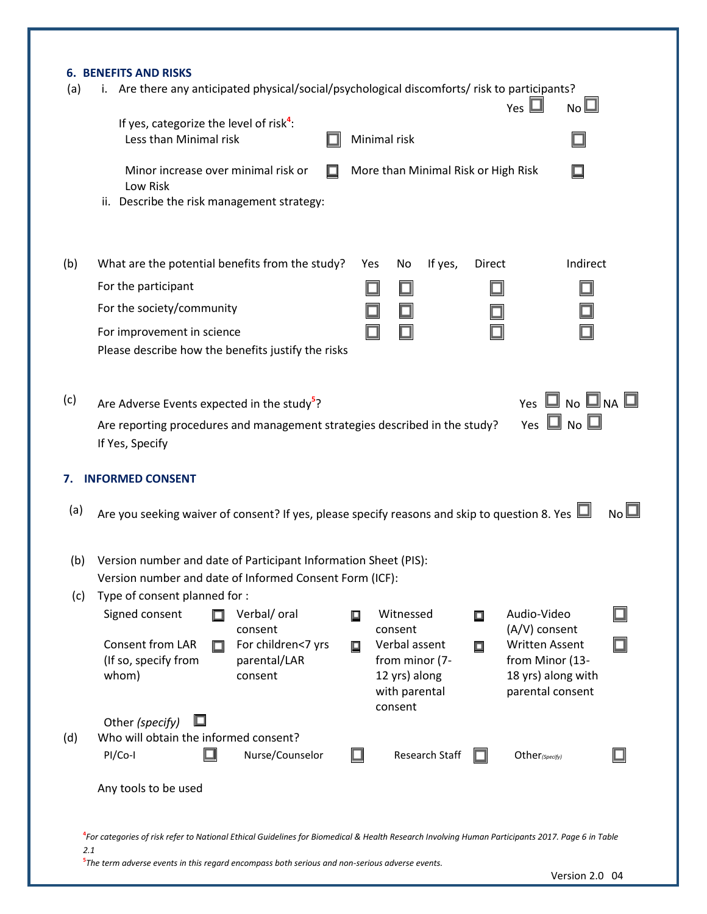|                  | If yes, categorize the level of risk <sup>4</sup> :<br>Less than Minimal risk                                                                                                                                                          |                                                                            |   | Minimal risk                                                                 |                |               | N <sub>O</sub>                                                                     |                |
|------------------|----------------------------------------------------------------------------------------------------------------------------------------------------------------------------------------------------------------------------------------|----------------------------------------------------------------------------|---|------------------------------------------------------------------------------|----------------|---------------|------------------------------------------------------------------------------------|----------------|
|                  | Minor increase over minimal risk or<br>Low Risk<br>ii. Describe the risk management strategy:                                                                                                                                          | □                                                                          |   | More than Minimal Risk or High Risk                                          |                |               |                                                                                    |                |
| (b)              | What are the potential benefits from the study?                                                                                                                                                                                        |                                                                            |   | Yes<br>No                                                                    | If yes,        | <b>Direct</b> |                                                                                    | Indirect       |
|                  | For the participant                                                                                                                                                                                                                    |                                                                            |   |                                                                              |                |               |                                                                                    |                |
|                  | For the society/community                                                                                                                                                                                                              |                                                                            |   |                                                                              |                |               |                                                                                    |                |
|                  | For improvement in science<br>Please describe how the benefits justify the risks                                                                                                                                                       |                                                                            |   |                                                                              |                |               |                                                                                    |                |
| (c)              | Are Adverse Events expected in the study <sup>5</sup> ?                                                                                                                                                                                |                                                                            |   |                                                                              |                |               | Yes $\square$ No $\square$ Na $\square$                                            |                |
|                  | If Yes, Specify                                                                                                                                                                                                                        | Are reporting procedures and management strategies described in the study? |   |                                                                              |                |               | Yes $\Box$ No $\Box$                                                               |                |
|                  | <b>INFORMED CONSENT</b>                                                                                                                                                                                                                |                                                                            |   |                                                                              |                |               |                                                                                    |                |
|                  | Are you seeking waiver of consent? If yes, please specify reasons and skip to question 8. Yes $\Box$<br>(b) Version number and date of Participant Information Sheet (PIS):<br>Version number and date of Informed Consent Form (ICF): |                                                                            |   |                                                                              |                |               |                                                                                    | N <sub>0</sub> |
|                  | Type of consent planned for :                                                                                                                                                                                                          |                                                                            |   |                                                                              |                |               |                                                                                    |                |
|                  | Signed consent                                                                                                                                                                                                                         | Verbal/ oral<br>consent                                                    | 口 | Witnessed<br>consent                                                         |                | ▣             | Audio-Video<br>(A/V) consent                                                       |                |
| 7.<br>(a)<br>(c) | Consent from LAR<br>О<br>(If so, specify from<br>whom)                                                                                                                                                                                 | For children<7 yrs<br>parental/LAR<br>consent                              | О | Verbal assent<br>from minor (7-<br>12 yrs) along<br>with parental<br>consent |                | ▣             | <b>Written Assent</b><br>from Minor (13-<br>18 yrs) along with<br>parental consent |                |
|                  | Other (specify)                                                                                                                                                                                                                        |                                                                            |   |                                                                              |                |               |                                                                                    |                |
| (d)              | Who will obtain the informed consent?<br>PI/Co-I                                                                                                                                                                                       | Nurse/Counselor                                                            |   |                                                                              | Research Staff |               | $Other_{(Specify)}$                                                                |                |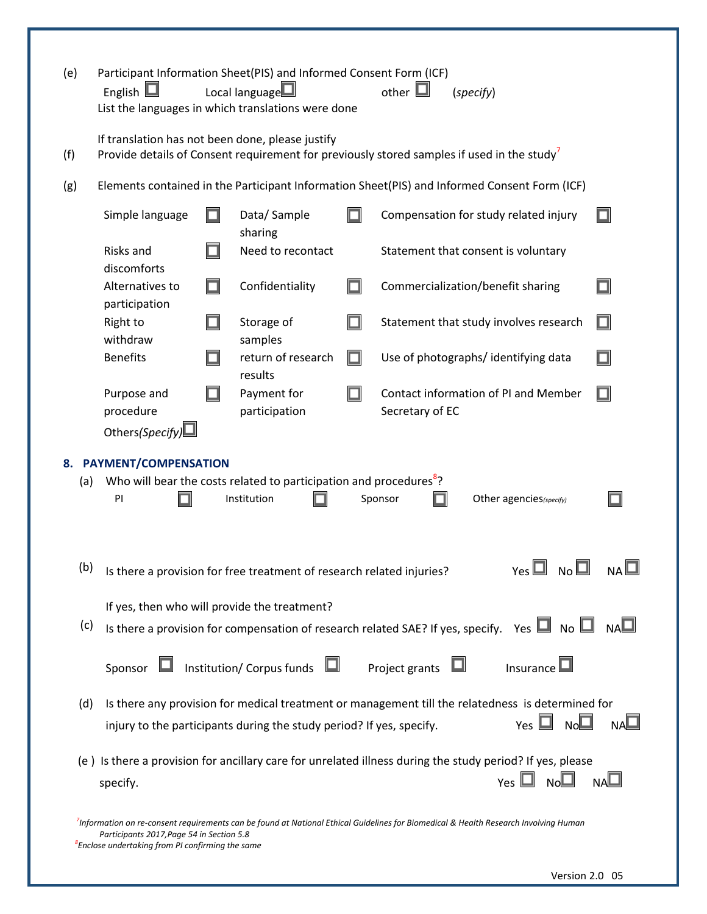| (e)       | English $\square$                                                                                         | Participant Information Sheet(PIS) and Informed Consent Form (ICF)<br>Local language $\square$<br>List the languages in which translations were done | other $\mathbf{\mathsf{\underline{u}}}$<br>(specify)                                                                                             |
|-----------|-----------------------------------------------------------------------------------------------------------|------------------------------------------------------------------------------------------------------------------------------------------------------|--------------------------------------------------------------------------------------------------------------------------------------------------|
| (f)       |                                                                                                           | If translation has not been done, please justify                                                                                                     | Provide details of Consent requirement for previously stored samples if used in the study                                                        |
| (g)       |                                                                                                           |                                                                                                                                                      | Elements contained in the Participant Information Sheet(PIS) and Informed Consent Form (ICF)                                                     |
|           | Simple language                                                                                           | Data/Sample<br>sharing                                                                                                                               | Compensation for study related injury                                                                                                            |
|           | Risks and                                                                                                 | Need to recontact                                                                                                                                    | Statement that consent is voluntary                                                                                                              |
|           | discomforts<br>Alternatives to<br>participation                                                           | Confidentiality                                                                                                                                      | Commercialization/benefit sharing                                                                                                                |
|           | Right to<br>withdraw                                                                                      | Storage of<br>samples                                                                                                                                | Statement that study involves research<br>П                                                                                                      |
|           | <b>Benefits</b>                                                                                           | return of research<br>results                                                                                                                        | Use of photographs/ identifying data                                                                                                             |
|           | Purpose and<br>procedure<br>Others(Specify)                                                               | Payment for<br>participation                                                                                                                         | Contact information of PI and Member<br>Secretary of EC                                                                                          |
| 8.<br>(a) | PAYMENT/COMPENSATION<br>PI                                                                                | Who will bear the costs related to participation and procedures <sup>8</sup> ?<br>Institution                                                        | Sponsor<br>Other agencies(specify)                                                                                                               |
|           |                                                                                                           | (b) Is there a provision for free treatment of research related injuries?                                                                            | $\gamma$ es $\square$ No $\square$<br>$NA \sqcup$                                                                                                |
| (c)       |                                                                                                           | If yes, then who will provide the treatment?                                                                                                         | Is there a provision for compensation of research related SAE? If yes, specify. Yes $\Box$ No $\Box$ NA $\Box$                                   |
|           | Sponsor                                                                                                   | Institution/Corpus funds $\square$                                                                                                                   | Project grants<br>Insurance                                                                                                                      |
| (d)       |                                                                                                           | injury to the participants during the study period? If yes, specify.                                                                                 | Is there any provision for medical treatment or management till the relatedness is determined for<br>No<br>Yes $\Box$                            |
|           | specify.                                                                                                  |                                                                                                                                                      | (e) Is there a provision for ancillary care for unrelated illness during the study period? If yes, please<br>NAO<br>Yes $\Box$ No $\Box$         |
|           | Participants 2017, Page 54 in Section 5.8<br><sup>8</sup> Enclose undertaking from PI confirming the same |                                                                                                                                                      | <sup>7</sup> Information on re-consent requirements can be found at National Ethical Guidelines for Biomedical & Health Research Involving Human |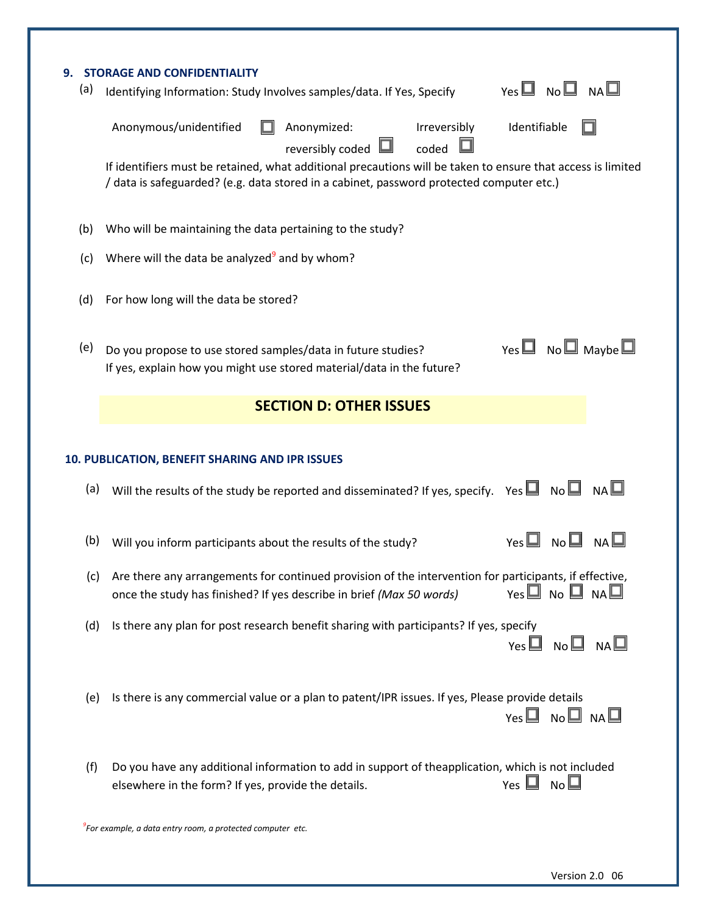| 9.<br>(a) | <b>STORAGE AND CONFIDENTIALITY</b><br>$N_A \Box$<br>Yes $\Box$ No $\Box$<br>Identifying Information: Study Involves samples/data. If Yes, Specify                                                            |
|-----------|--------------------------------------------------------------------------------------------------------------------------------------------------------------------------------------------------------------|
|           | Identifiable<br>Anonymous/unidentified<br>Anonymized:<br>Irreversibly<br>coded<br>reversibly coded                                                                                                           |
|           | If identifiers must be retained, what additional precautions will be taken to ensure that access is limited<br>/ data is safeguarded? (e.g. data stored in a cabinet, password protected computer etc.)      |
| (b)       | Who will be maintaining the data pertaining to the study?                                                                                                                                                    |
| (c)       | Where will the data be analyzed <sup>9</sup> and by whom?                                                                                                                                                    |
| (d)       | For how long will the data be stored?                                                                                                                                                                        |
| (e)       | Yes $\Box$ No $\Box$ Maybe $\Box$<br>Do you propose to use stored samples/data in future studies?<br>If yes, explain how you might use stored material/data in the future?                                   |
|           | <b>SECTION D: OTHER ISSUES</b>                                                                                                                                                                               |
|           | 10. PUBLICATION, BENEFIT SHARING AND IPR ISSUES                                                                                                                                                              |
| (a)       | Will the results of the study be reported and disseminated? If yes, specify. Yes $\Box$ No $\Box$ NA $\Box$                                                                                                  |
| (b)       | $Yes \Box No \Box$<br>NA<br>Will you inform participants about the results of the study?                                                                                                                     |
| (c)       | Are there any arrangements for continued provision of the intervention for participants, if effective,<br>$Yes \Box No \Box Na \Box$<br>once the study has finished? If yes describe in brief (Max 50 words) |
| (d)       | Is there any plan for post research benefit sharing with participants? If yes, specify<br>$Yes \Box No \Box Na \Box$                                                                                         |
| (e)       | Is there is any commercial value or a plan to patent/IPR issues. If yes, Please provide details<br>$Yes \Box no \Box na \Box$                                                                                |
| (f)       | Do you have any additional information to add in support of theapplication, which is not included<br>Yes $\Box$ No $\Box$<br>elsewhere in the form? If yes, provide the details.                             |
|           | <sup>9</sup> For example, a data entry room, a protected computer etc.                                                                                                                                       |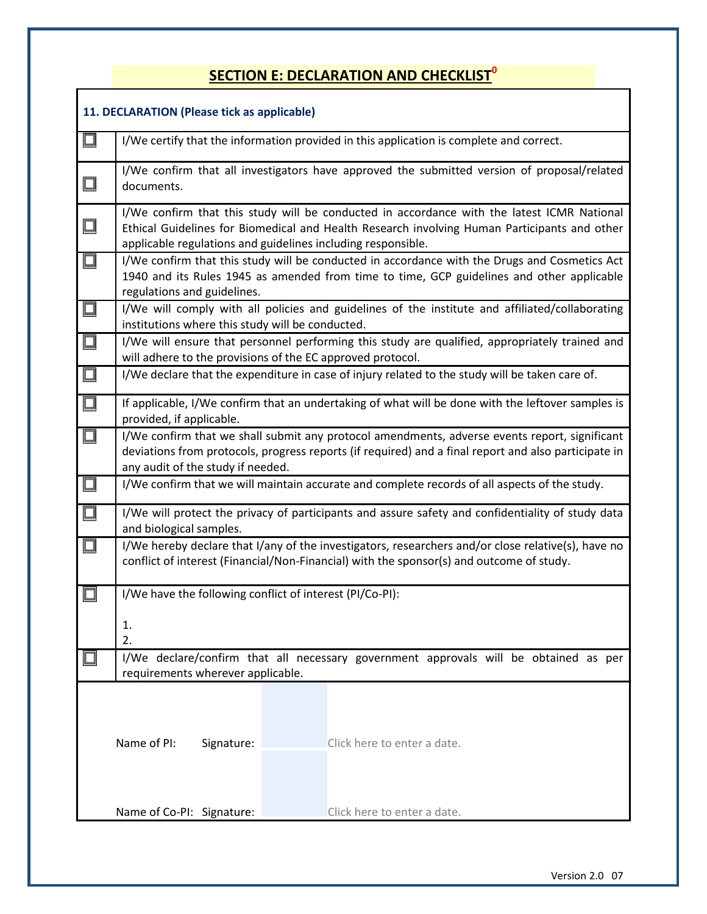## **SECTION E: DECLARATION AND CHECKLIST<sup>0</sup>**

|        | 11. DECLARATION (Please tick as applicable)                                                                                                                                                                                                                |  |  |  |  |  |  |  |  |  |
|--------|------------------------------------------------------------------------------------------------------------------------------------------------------------------------------------------------------------------------------------------------------------|--|--|--|--|--|--|--|--|--|
| $\Box$ | I/We certify that the information provided in this application is complete and correct.                                                                                                                                                                    |  |  |  |  |  |  |  |  |  |
| $\Box$ | I/We confirm that all investigators have approved the submitted version of proposal/related<br>documents.                                                                                                                                                  |  |  |  |  |  |  |  |  |  |
| $\Box$ | I/We confirm that this study will be conducted in accordance with the latest ICMR National<br>Ethical Guidelines for Biomedical and Health Research involving Human Participants and other<br>applicable regulations and guidelines including responsible. |  |  |  |  |  |  |  |  |  |
| $\Box$ | I/We confirm that this study will be conducted in accordance with the Drugs and Cosmetics Act<br>1940 and its Rules 1945 as amended from time to time, GCP guidelines and other applicable<br>regulations and guidelines.                                  |  |  |  |  |  |  |  |  |  |
| $\Box$ | I/We will comply with all policies and guidelines of the institute and affiliated/collaborating<br>institutions where this study will be conducted.                                                                                                        |  |  |  |  |  |  |  |  |  |
| $\Box$ | I/We will ensure that personnel performing this study are qualified, appropriately trained and<br>will adhere to the provisions of the EC approved protocol.                                                                                               |  |  |  |  |  |  |  |  |  |
| $\Box$ | I/We declare that the expenditure in case of injury related to the study will be taken care of.                                                                                                                                                            |  |  |  |  |  |  |  |  |  |
| $\Box$ | If applicable, I/We confirm that an undertaking of what will be done with the leftover samples is<br>provided, if applicable.                                                                                                                              |  |  |  |  |  |  |  |  |  |
| $\Box$ | I/We confirm that we shall submit any protocol amendments, adverse events report, significant<br>deviations from protocols, progress reports (if required) and a final report and also participate in<br>any audit of the study if needed.                 |  |  |  |  |  |  |  |  |  |
| $\Box$ | I/We confirm that we will maintain accurate and complete records of all aspects of the study.                                                                                                                                                              |  |  |  |  |  |  |  |  |  |
| $\Box$ | I/We will protect the privacy of participants and assure safety and confidentiality of study data<br>and biological samples.                                                                                                                               |  |  |  |  |  |  |  |  |  |
| $\Box$ | I/We hereby declare that I/any of the investigators, researchers and/or close relative(s), have no<br>conflict of interest (Financial/Non-Financial) with the sponsor(s) and outcome of study.                                                             |  |  |  |  |  |  |  |  |  |
| □      | I/We have the following conflict of interest (PI/Co-PI):                                                                                                                                                                                                   |  |  |  |  |  |  |  |  |  |
|        | 1.<br>2.                                                                                                                                                                                                                                                   |  |  |  |  |  |  |  |  |  |
|        | I/We declare/confirm that all necessary government approvals will be obtained as per                                                                                                                                                                       |  |  |  |  |  |  |  |  |  |
|        | requirements wherever applicable.                                                                                                                                                                                                                          |  |  |  |  |  |  |  |  |  |
|        | Name of PI:<br>Click here to enter a date.<br>Signature:                                                                                                                                                                                                   |  |  |  |  |  |  |  |  |  |
|        | Click here to enter a date.<br>Name of Co-PI: Signature:                                                                                                                                                                                                   |  |  |  |  |  |  |  |  |  |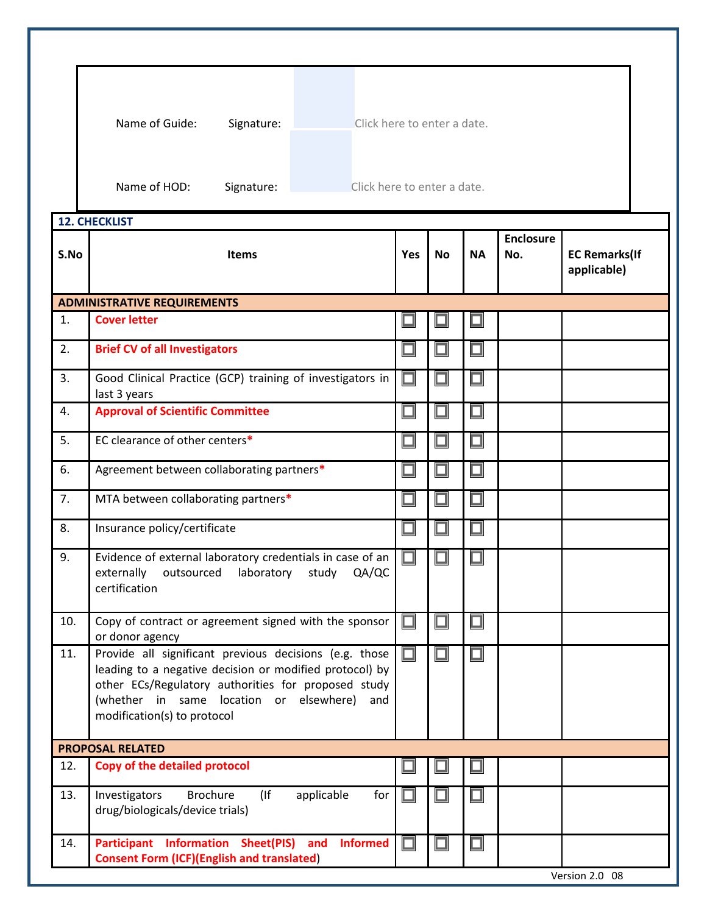|      | Name of Guide:<br>Signature:                                                                                                                                                                                                                              | Click here to enter a date. |    |           |                         |                                     |  |
|------|-----------------------------------------------------------------------------------------------------------------------------------------------------------------------------------------------------------------------------------------------------------|-----------------------------|----|-----------|-------------------------|-------------------------------------|--|
|      | Name of HOD:<br>Click here to enter a date.<br>Signature:                                                                                                                                                                                                 |                             |    |           |                         |                                     |  |
|      | <b>12. CHECKLIST</b>                                                                                                                                                                                                                                      |                             |    |           |                         |                                     |  |
| S.No | <b>Items</b>                                                                                                                                                                                                                                              | Yes                         | No | <b>NA</b> | <b>Enclosure</b><br>No. | <b>EC Remarks(If</b><br>applicable) |  |
|      | <b>ADMINISTRATIVE REQUIREMENTS</b>                                                                                                                                                                                                                        |                             |    |           |                         |                                     |  |
| 1.   | <b>Cover letter</b>                                                                                                                                                                                                                                       |                             |    |           |                         |                                     |  |
| 2.   | <b>Brief CV of all Investigators</b>                                                                                                                                                                                                                      |                             |    |           |                         |                                     |  |
| 3.   | Good Clinical Practice (GCP) training of investigators in<br>last 3 years                                                                                                                                                                                 |                             |    |           |                         |                                     |  |
| 4.   | <b>Approval of Scientific Committee</b>                                                                                                                                                                                                                   | □                           |    |           |                         |                                     |  |
| 5.   | EC clearance of other centers*                                                                                                                                                                                                                            |                             |    |           |                         |                                     |  |
| 6.   | Agreement between collaborating partners*                                                                                                                                                                                                                 |                             |    |           |                         |                                     |  |
| 7.   | MTA between collaborating partners*                                                                                                                                                                                                                       |                             |    |           |                         |                                     |  |
| 8.   | Insurance policy/certificate                                                                                                                                                                                                                              |                             |    |           |                         |                                     |  |
| 9.   | Evidence of external laboratory credentials in case of an<br>externally<br>outsourced<br>laboratory<br>study<br>QA/QC<br>certification                                                                                                                    |                             |    |           |                         |                                     |  |
| 10.  | Copy of contract or agreement signed with the sponsor<br>or donor agency                                                                                                                                                                                  |                             |    | □         |                         |                                     |  |
| 11.  | Provide all significant previous decisions (e.g. those<br>leading to a negative decision or modified protocol) by<br>other ECs/Regulatory authorities for proposed study<br>(whether in same location or elsewhere)<br>and<br>modification(s) to protocol |                             |    | □         |                         |                                     |  |
|      | <b>PROPOSAL RELATED</b>                                                                                                                                                                                                                                   |                             |    |           |                         |                                     |  |
| 12.  | <b>Copy of the detailed protocol</b>                                                                                                                                                                                                                      |                             |    |           |                         |                                     |  |
| 13.  | <b>Brochure</b><br>Investigators<br>(<br>applicable<br>for<br>drug/biologicals/device trials)                                                                                                                                                             |                             |    | □         |                         |                                     |  |
| 14.  | Participant Information Sheet(PIS) and<br><b>Informed</b><br><b>Consent Form (ICF)(English and translated)</b>                                                                                                                                            |                             |    | $\Box$    |                         |                                     |  |